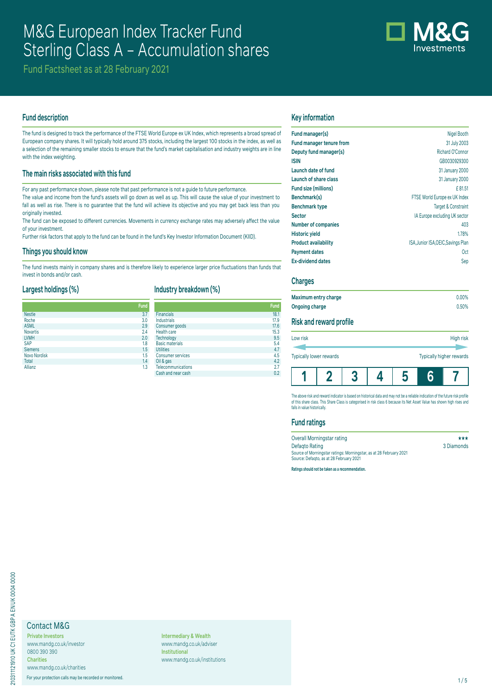# M&G European Index Tracker Fund Sterling Class A - Accumulation shares



Fund Factsheet as at 28 February 2021

# **Fund description**

The fund is designed to track the performance of the FTSE World Europe ex UK Index, which represents a broad spread of European company shares. It will typically hold around 375 stocks, including the largest 100 stocks in the index, as well as a selection of the remaining smaller stocks to ensure that the fund's market capitalisation and industry weights are in line with the index weighting.

# **The main risks associated with this fund**

For any past performance shown, please note that past performance is not a guide to future performance.

The value and income from the fund's assets will go down as well as up. This will cause the value of your investment to fall as well as rise. There is no guarantee that the fund will achieve its objective and you may get back less than you originally invested.

The fund can be exposed to different currencies. Movements in currency exchange rates may adversely affect the value of your investment.

Further risk factors that apply to the fund can be found in the fund's Key Investor Information Document (KIID).

#### **Things you should know**

The fund invests mainly in company shares and is therefore likely to experience larger price fluctuations than funds that invest in bonds and/or cash.

### **Largest holdings (%)**

# **Industry breakdown (%)**

|                 | <b>Fund</b> |                           |
|-----------------|-------------|---------------------------|
| <b>Nestle</b>   | 3.7         | <b>Financials</b>         |
| Roche           | 3.0         | Industrials               |
| <b>ASML</b>     | 2.9         | Consumer goods            |
| <b>Novartis</b> | 2.4         | Health care               |
| <b>LVMH</b>     | 2.0         | Technology                |
| <b>SAP</b>      | 1.8         | <b>Basic materials</b>    |
| <b>Siemens</b>  | 1.5         | <b>Utilities</b>          |
| Novo Nordisk    | 1.5         | <b>Consumer services</b>  |
| <b>Total</b>    | 1.4         | Oil & gas                 |
| Allianz         | 1.3         | <b>Telecommunications</b> |

|                           | runa |
|---------------------------|------|
| <b>Financials</b>         | 18.1 |
| Industrials               | 17.9 |
| Consumer goods            | 17.6 |
| <b>Health care</b>        | 15.3 |
| Technology                | 9.5  |
| <b>Basic materials</b>    | 5.4  |
| <b>Utilities</b>          | 4.7  |
| <b>Consumer services</b>  | 4.5  |
| Oil & gas                 | 4.2  |
| <b>Telecommunications</b> | 2.7  |
| Cash and near cash        | 0.2  |

# **Key information**

| Fund manager(s)                 | Nigel Booth                         |
|---------------------------------|-------------------------------------|
| <b>Fund manager tenure from</b> | 31 July 2003                        |
| Deputy fund manager(s)          | Richard O'Connor                    |
| <b>ISIN</b>                     | GB0030929300                        |
| Launch date of fund             | 31 January 2000                     |
| Launch of share class           | 31 January 2000                     |
| Fund size (millions)            | £81.51                              |
| Benchmark(s)                    | FTSE World Europe ex UK Index       |
| <b>Benchmark type</b>           | <b>Target &amp; Constraint</b>      |
| <b>Sector</b>                   | IA Europe excluding UK sector       |
| <b>Number of companies</b>      | 403                                 |
| <b>Historic yield</b>           | 1.78%                               |
| <b>Product availability</b>     | ISA, Junior ISA, OEIC, Savings Plan |
| <b>Payment dates</b>            | 0ct                                 |
| <b>Ex-dividend dates</b>        | Sep                                 |
|                                 |                                     |

# **Charges**

| Maximum entry charge           | $0.00\%$ |
|--------------------------------|----------|
| Ongoing charge                 | 0.50%    |
| <b>Risk and reward profile</b> |          |
|                                |          |

| <b>Typically lower rewards</b> |  |                  |  |  | Typically higher rewards |  |
|--------------------------------|--|------------------|--|--|--------------------------|--|
| LOW <b>risk</b>                |  | <b>High risk</b> |  |  |                          |  |

The above risk and reward indicator is based on historical data and may not be a reliable indication of the future risk profile of this share class. This Share Class is categorised in risk class 6 because its Net Asset Value has shown high rises and falls in value historically.

# **Fund ratings**

| Overall Morningstar rating                                         | ***        |
|--------------------------------------------------------------------|------------|
| Defagto Rating                                                     | 3 Diamonds |
| Source of Morningstar ratings: Morningstar, as at 28 February 2021 |            |
| Source: Defagto, as at 28 February 2021                            |            |

**Ratings should not be taken as a recommendation.**

# Contact M&G

**Private Investors** www.mandg.co.uk/investor 0800 390 390 **Charities** www.mandg.co.uk/charities

For your protection calls may be recorded or monitored. 1/5

**Intermediary & Wealth** www.mandg.co.uk/adviser **Institutional** www.mandg.co.uk/institutions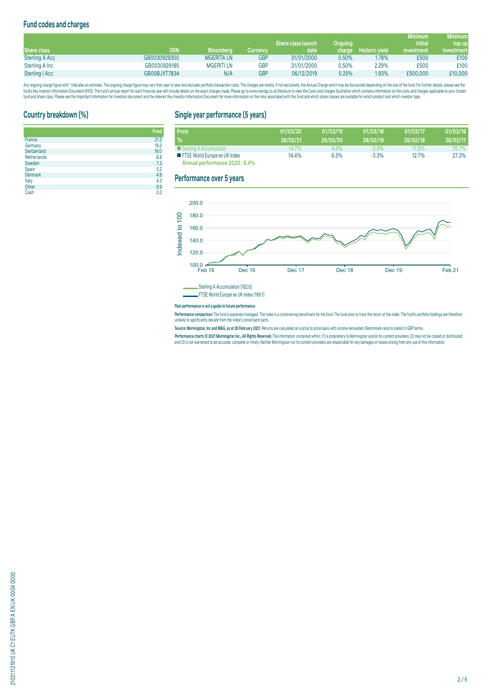# **Fund codes and charges**

|                       |              |                   |            |                    |         |                       | <b>Minimum</b> | Minimum    |
|-----------------------|--------------|-------------------|------------|--------------------|---------|-----------------------|----------------|------------|
|                       |              |                   |            | Share class launch | Ongoing |                       | <b>initial</b> | top up     |
| Share class           | <b>ISIN</b>  | <b>Bloomberg</b>  | Currencv   | date               | charge  | <b>Historic vield</b> | investment     | investment |
| <b>Sterling A Acc</b> | GB0030929300 | <b>MGERITA LN</b> | <b>GBP</b> | 31/01/2000         | 0.50%   | 1.78%                 | £500           | £100       |
| Sterling A Inc        | GB0030929185 | <b>MGERITI LN</b> | GBP        | 31/01/2000         | 0.50%   | 2.29%                 | £500           | £100       |
| Sterling   Acc        | GB00BJXT7834 | N/A               | GBP        | 06/12/2019         | 0.25%   | 1.93%                 | £500,000       | £10,000    |

Any ongoing charge rigure with "inducates an estimate. The ongoing charge may vary from year to year and excludes portroill transaction costs. The charges are mostly, if not exclusively, the Annual Charge and Charges are o

# **Country breakdown (%)**

|                    | <b>Fund</b> |
|--------------------|-------------|
| France             | 21.2        |
| Germany            | 19.2        |
| Switzerland        | 19.0        |
| <b>Netherlands</b> | 8.8         |
| Sweden             | 7.3         |
| Spain              | 5.2         |
| Denmark            | 4.8         |
| Italy              | 4.3         |
| Other              | 9.9         |
| Cash               | 0.2         |

# **Single year performance (5 years)**

| <b>From</b>                          | 01/03/20 | 01/03/19 | 01/03/18 | 01/03/17 | 01/03/16 |
|--------------------------------------|----------|----------|----------|----------|----------|
| Го                                   | 28/02/21 | 29/02/20 | 28/02/19 | 28/02/18 | 28/02/17 |
| Sterling A Accumulation              | 14.7%    | 4.9%     | $-3.9%$  | 11.9%    | 25.7%    |
| <b>FISE World Europe ex UK Index</b> | 14.4%    | 6.5%     | $-3.3%$  | 12.7%    | 27.3%    |
| Annual performance 2020 : 8.4%       |          |          |          |          |          |

## **Performance over 5 years**



FTSE World Europe ex UK Index (169.1)

#### **Past performance is not a guide to future performance.**

**Performance comparison:** The fund is passively managed. The index is a constraining benchmark for the fund . The fund aims to track the return of the index. The fund's portfolio holdings are therefore<br>unlikely to signific

**Source: Morningstar, Inc and M&G, as at 28 February 2021.** Returns are calculated on a price to price basis with income reinvested. Benchmark returns stated in GBP terms.

**Performance charts © 2021 Morningstar Inc., All Rights Reserved.** The information contained within: (1) is proprietary to Morningstar and/or its content providers; (2) may not be copied or distributed; and (3) is not warranted to be accurate, complete or timely. Neither Morningstar nor its content providers are responsible for any damages or losses arising from any use of this information.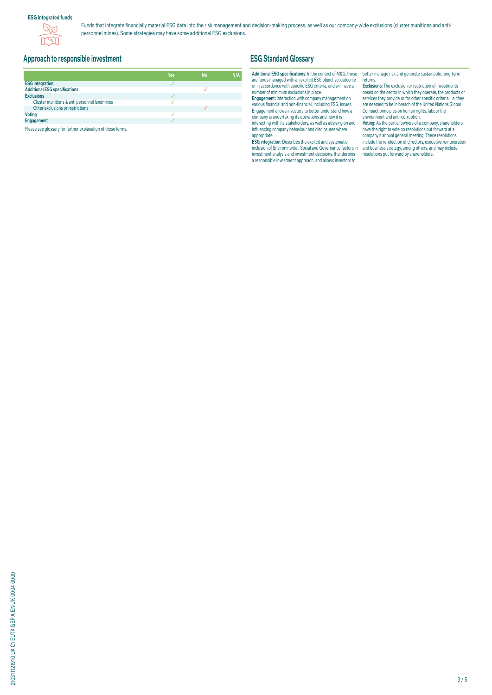# **ESG Integrated funds**



Funds that integrate financially material ESG data into the risk management and decision-making process, as well as our company-wide exclusions (cluster munitions and antipersonnel mines). Some strategies may have some additional ESG exclusions.

# **Approach to responsible investment**

|                                              | Yes | <b>No</b> | N/A |
|----------------------------------------------|-----|-----------|-----|
| <b>ESG integration</b>                       |     |           |     |
| <b>Additional ESG specifications</b>         |     |           |     |
| <b>Exclusions</b>                            |     |           |     |
| Cluster munitions & anti personnel landmines |     |           |     |
| Other exclusions or restrictions             |     |           |     |
| <b>Voting</b>                                |     |           |     |
| Engagement                                   |     |           |     |

Please see glossary for further explanation of these terms.

# **ESG Standard Glossary**

#### **Additional ESG specifications:** In the context of M&G, these are funds managed with an explicit ESG objective, outcome or in accordance with specific ESG criteria, and will have a number of minimum exclusions in place.

**Engagement:** Interaction with company management on various financial and non-financial, including ESG, issues. Engagement allows investors to better understand how a company is undertaking its operations and how it is interacting with its stakeholders, as well as advising on and influencing company behaviour and disclosures where appropriate.

**ESG integration:** Describes the explicit and systematic inclusion of Environmental, Social and Governance factors in investment analysis and investment decisions. It underpins a responsible investment approach, and allows investors to

better manage risk and generate sustainable, long-term returns.

**Exclusions:** The exclusion or restriction of investments based on the sector in which they operate, the products or services they provide or for other specific criteria, i.e. they are deemed to be in breach of the United Nations Global Compact principles on human rights, labour the environment and anti-corruption.

**Voting:** As the partial owners of a company, shareholders have the right to vote on resolutions put forward at a company's annual general meeting. These resolutions include the re-election of directors, executive remuneration and business strategy, among others, and may include resolutions put forward by shareholders.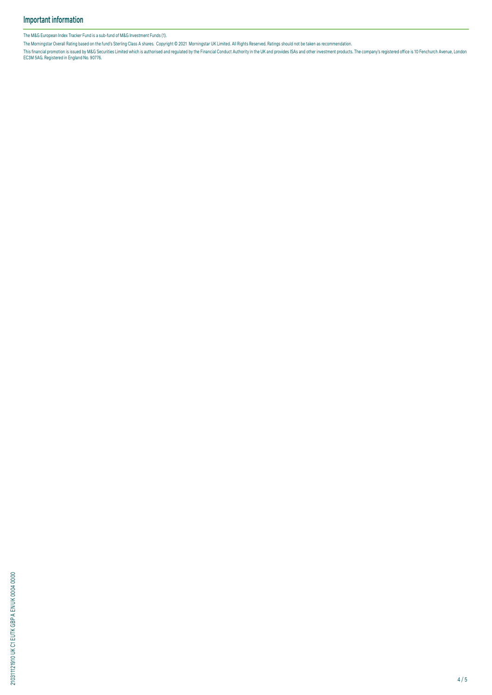The M&G European Index Tracker Fund is a sub-fund of M&G Investment Funds (1).

The Morningstar Overall Rating based on the fund's Sterling Class A shares. Copyright © 2021 Morningstar UK Limited. All Rights Reserved. Ratings should not be taken as recommendation.

This financial promotion is issued by M&G Securities Limited which is authorised and regulated by the Financial Conduct Authority in the UK and provides ISAS and other investment products. The company's registered office i